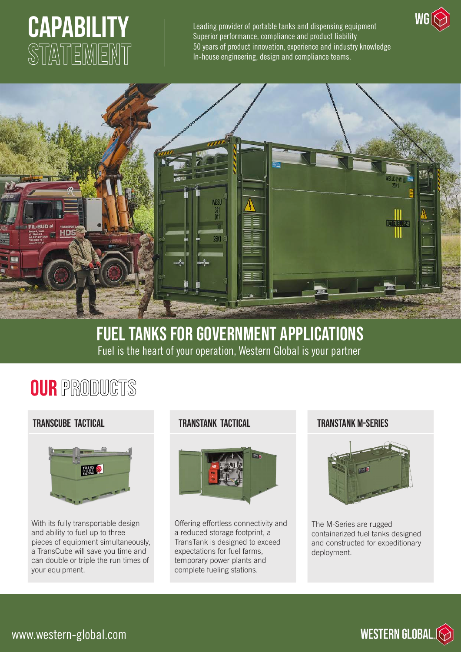## **CAPABILITY STATEMENT**

**E**<br>Capability Superior performance, compliance and product liability<br>CAPABILITY Solvears of product innovation, experience and industry<br>CAPABILITY Solvearing, design and compliance teams. Leading provider of portable tanks and dispensing equipment Superior performance, compliance and product liability 50 years of product innovation, experience and industry knowledge In-house engineering, design and compliance teams.



### FUEL TANKS FOR GOVERNMENT APPLICATIONS Fuel is the heart of your operation, Western Global is your partner

## **OUR PRODUCTS**

#### TRANSCUBE TACTICAL



With its fully transportable design and ability to fuel up to three pieces of equipment simultaneously, a TransCube will save you time and can double or triple the run times of your equipment.



Offering effortless connectivity and a reduced storage footprint, a TransTank is designed to exceed expectations for fuel farms, temporary power plants and complete fueling stations.

#### TRANSTANK TACTICAL TRANSTANK M-SERIES



The M-Series are rugged containerized fuel tanks designed and constructed for expeditionary deployment.



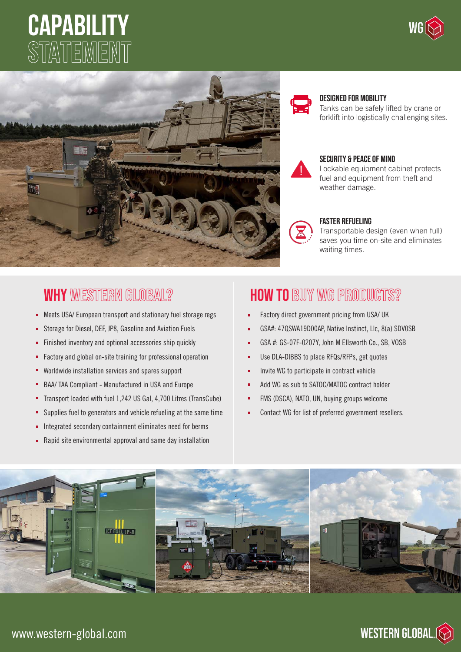### www.western-global.com

# **CAPABILITY STATEMENT**



- Storage for Diesel, DEF, JP8, Gasoline and Aviation Fuels 'n
- Finished inventory and optional accessories ship quickly  $\blacksquare$
- Factory and global on-site training for professional operation  $\blacksquare$
- Worldwide installation services and spares support  $\blacksquare$
- Î. BAA/ TAA Compliant - Manufactured in USA and Europe
- Transport loaded with fuel 1,242 US Gal, 4,700 Litres (TransCube)
- Supplies fuel to generators and vehicle refueling at the same time  $\blacksquare$
- Integrated secondary containment eliminates need for berms
- Rapid site environmental approval and same day installation

## WHY WESTERN GLOBAL? HOW TO BUY WG PRODUCTS?

- Factory direct government pricing from USA/ UK
- GSA#: 47QSWA19D00AP, Native Instinct, Llc, 8(a) SDV0SB
- GSA #: GS-07F-0207Y, John M Ellsworth Co., SB, VOSB
- Use DLA-DIBBS to place RFQs/RFPs, get quotes
- Invite WG to participate in contract vehicle ×
- Add WG as sub to SATOC/MATOC contract holder
- FMS (DSCA), NATO, UN, buying groups welcome
- Contact WG for list of preferred government resellers.







#### designed for mobility

Tanks can be safely lifted by crane or forklift into logistically challenging sites.



#### security & peace of mind

faster refueling

waiting times.

Lockable equipment cabinet protects fuel and equipment from theft and weather damage.

Transportable design (even when full) saves you time on-site and eliminates